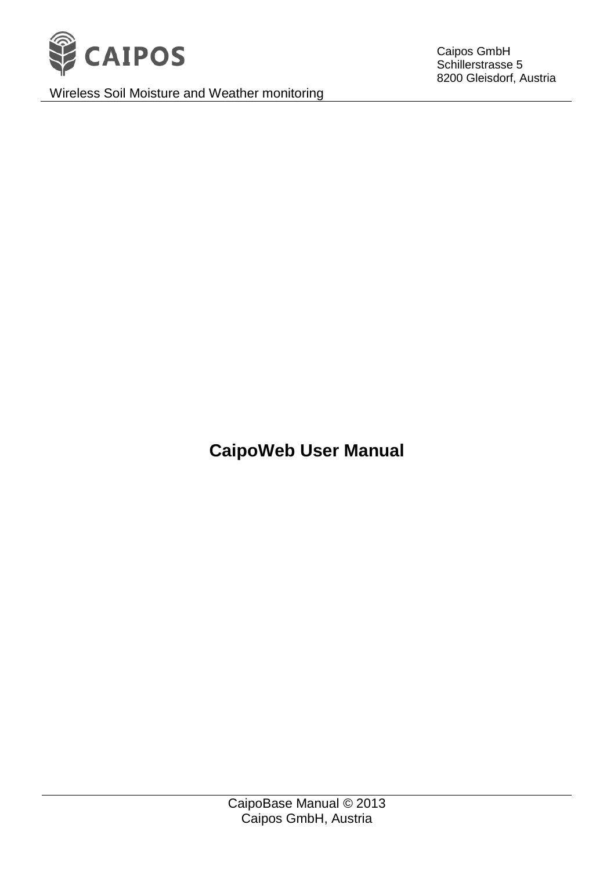

Wireless Soil Moisture and Weather monitoring

Caipos GmbH Schillerstrasse 5 8200 Gleisdorf, Austria

**CaipoWeb User Manual**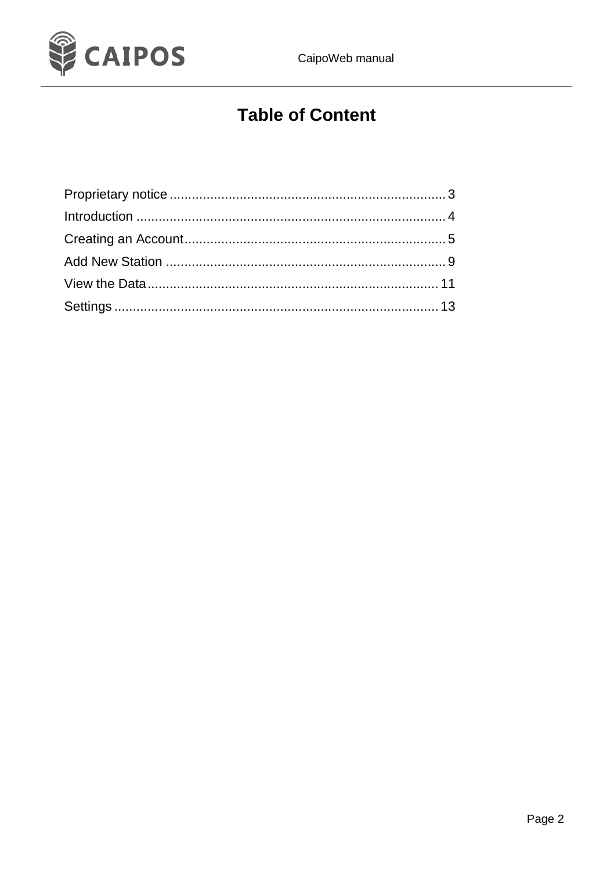

# **Table of Content**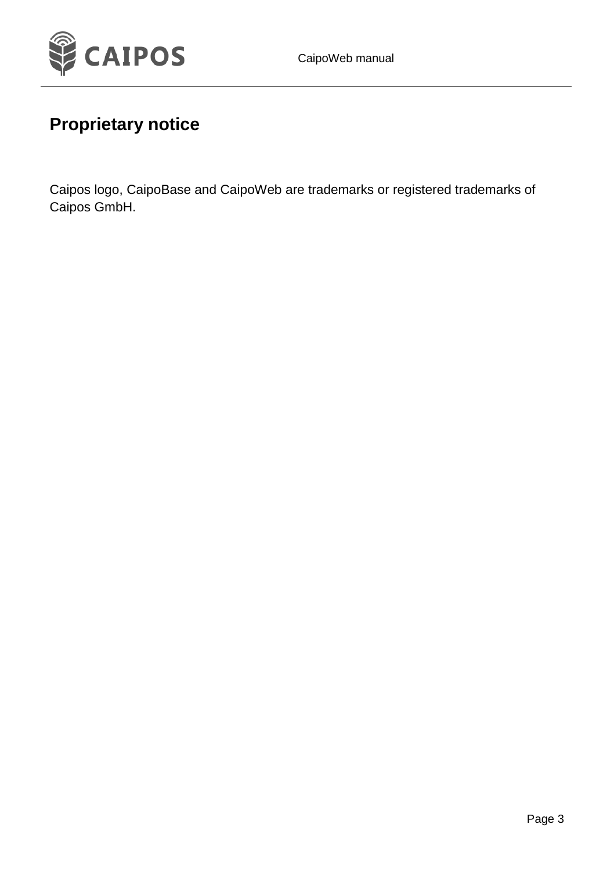

### <span id="page-2-0"></span>**Proprietary notice**

Caipos logo, CaipoBase and CaipoWeb are trademarks or registered trademarks of Caipos GmbH.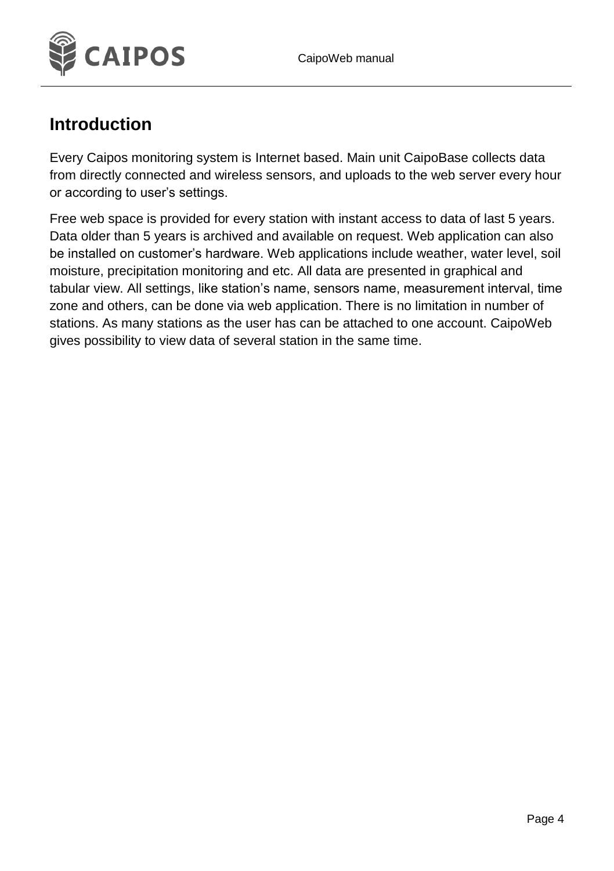

#### <span id="page-3-0"></span>**Introduction**

Every Caipos monitoring system is Internet based. Main unit CaipoBase collects data from directly connected and wireless sensors, and uploads to the web server every hour or according to user's settings.

Free web space is provided for every station with instant access to data of last 5 years. Data older than 5 years is archived and available on request. Web application can also be installed on customer's hardware. Web applications include weather, water level, soil moisture, precipitation monitoring and etc. All data are presented in graphical and tabular view. All settings, like station's name, sensors name, measurement interval, time zone and others, can be done via web application. There is no limitation in number of stations. As many stations as the user has can be attached to one account. CaipoWeb gives possibility to view data of several station in the same time.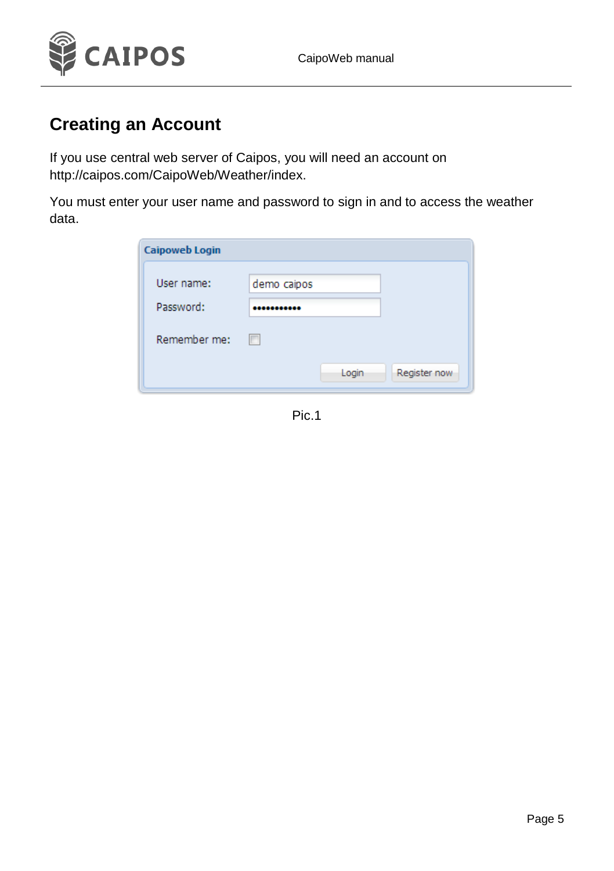

#### <span id="page-4-0"></span>**Creating an Account**

If you use central web server of Caipos, you will need an account on [http://caipos.com/CaipoWeb/Weather/index.](http://caipos.com/CaipoWeb/Weather/index)

You must enter your user name and password to sign in and to access the weather data.

| <b>Caipoweb Login</b> |             |              |
|-----------------------|-------------|--------------|
| User name:            | demo caipos |              |
| Password:             | *********   |              |
| Remember me:          | n           |              |
|                       | Login       | Register now |
|                       |             |              |

Pic.1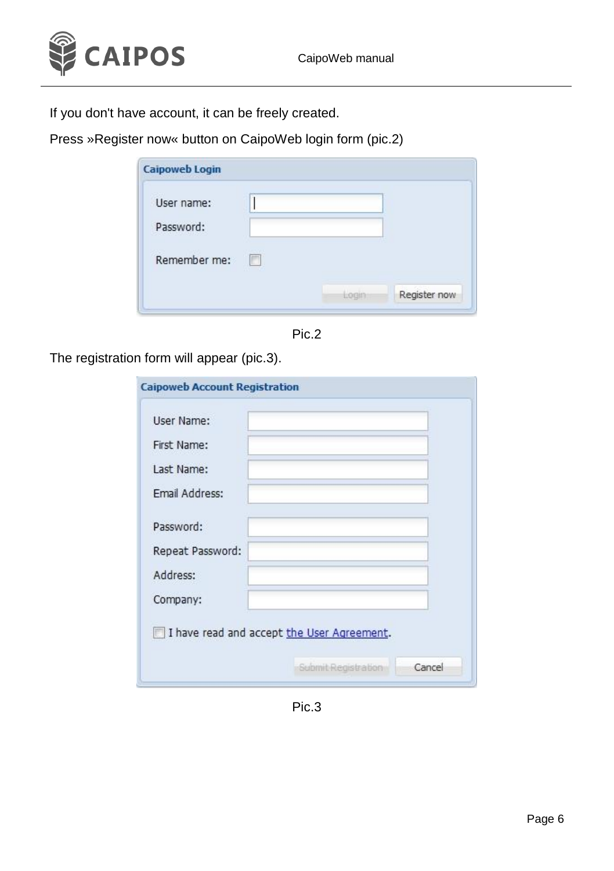

If you don't have account, it can be freely created.

Press »Register now« button on CaipoWeb login form (pic.2)

| Register now |
|--------------|
| Liogin       |

Pic.2

The registration form will appear (pic.3).

| User Name:       |  |  |
|------------------|--|--|
|                  |  |  |
| First Name:      |  |  |
| Last Name:       |  |  |
| Fmail Address:   |  |  |
| Password:        |  |  |
| Repeat Password: |  |  |
| Address:         |  |  |
| Company:         |  |  |

Pic.3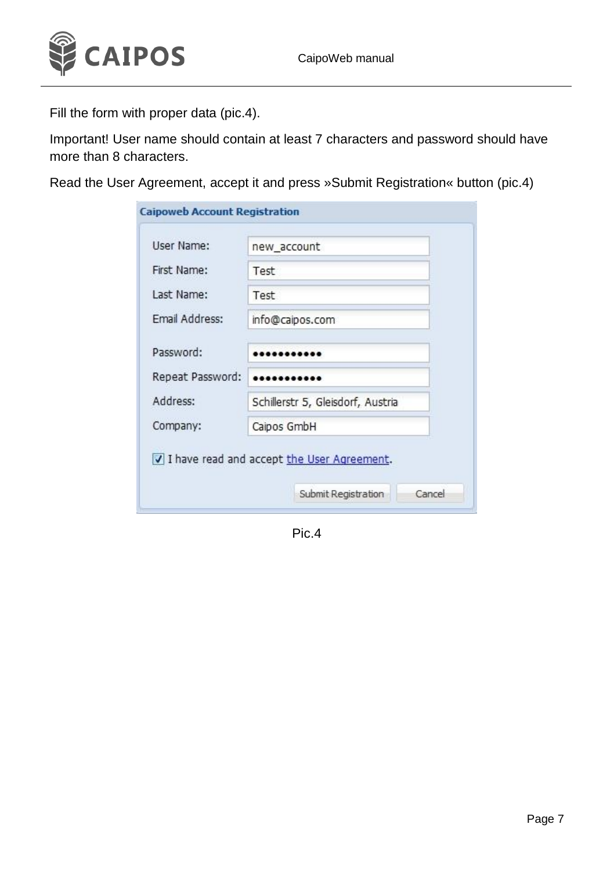

Fill the form with proper data (pic.4).

Important! User name should contain at least 7 characters and password should have more than 8 characters.

Read the User Agreement, accept it and press »Submit Registration« button (pic.4)

| User Name:            | new account                       |
|-----------------------|-----------------------------------|
| First Name:           | Test                              |
| Last Name:            | Test                              |
| <b>Email Address:</b> | info@caipos.com                   |
| Password:             |                                   |
| Repeat Password:      |                                   |
| Address:              | Schillerstr 5, Gleisdorf, Austria |
| Company:              | Caipos GmbH                       |

Pic.4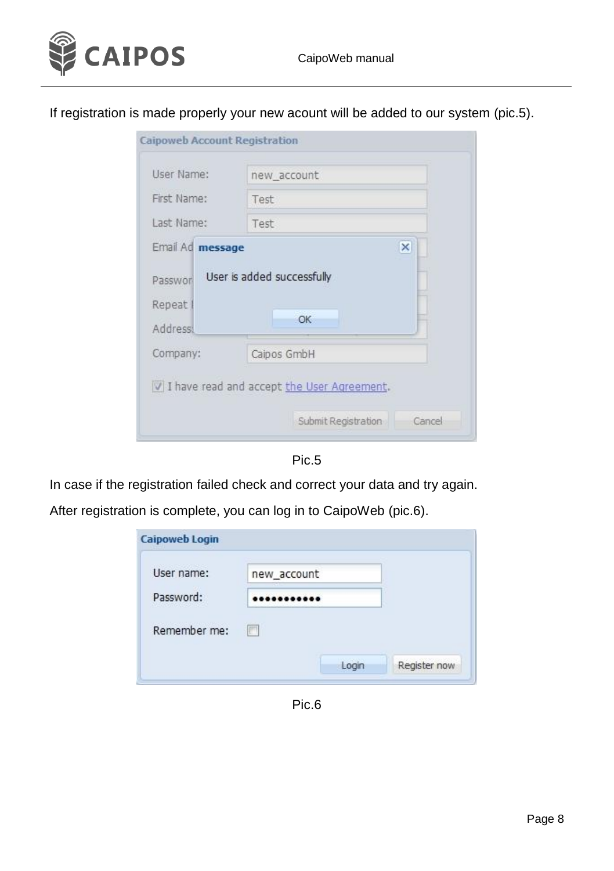

If registration is made properly your new acount will be added to our system (pic.5).

| Caipoweb Account Registration                     |                                                                               |
|---------------------------------------------------|-------------------------------------------------------------------------------|
| User Name:                                        | new account                                                                   |
| First Name:                                       | Test                                                                          |
| Last Name:                                        | Test                                                                          |
| Email Ad message<br>Passwor<br>Repeat<br>Address: | ×<br>User is added successfully<br>OK                                         |
| Company:                                          | Caipos GmbH                                                                   |
|                                                   | V I have read and accept the User Agreement.<br>Submit Registration<br>Cancel |

Pic.5

In case if the registration failed check and correct your data and try again.

After registration is complete, you can log in to CaipoWeb (pic.6).

| <b>Caipoweb Login</b> |             |  |
|-----------------------|-------------|--|
| User name:            | new_account |  |
| Password:             | ----------- |  |
| Remember me:          | m           |  |
|                       |             |  |

Pic.6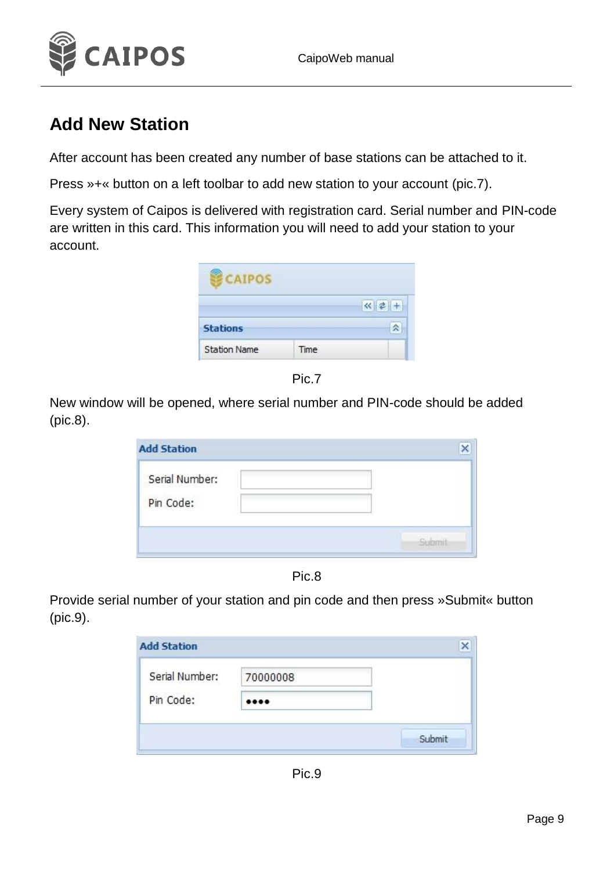

#### <span id="page-8-0"></span>**Add New Station**

After account has been created any number of base stations can be attached to it.

Press »+« button on a left toolbar to add new station to your account (pic.7).

Every system of Caipos is delivered with registration card. Serial number and PIN-code are written in this card. This information you will need to add your station to your account.





New window will be opened, where serial number and PIN-code should be added (pic.8).

| Serial Number: |  |
|----------------|--|
| Pin Code:      |  |



Provide serial number of your station and pin code and then press »Submit« button (pic.9).

| Serial Number: | 70000008 |  |
|----------------|----------|--|
| Pin Code:      |          |  |

Pic.9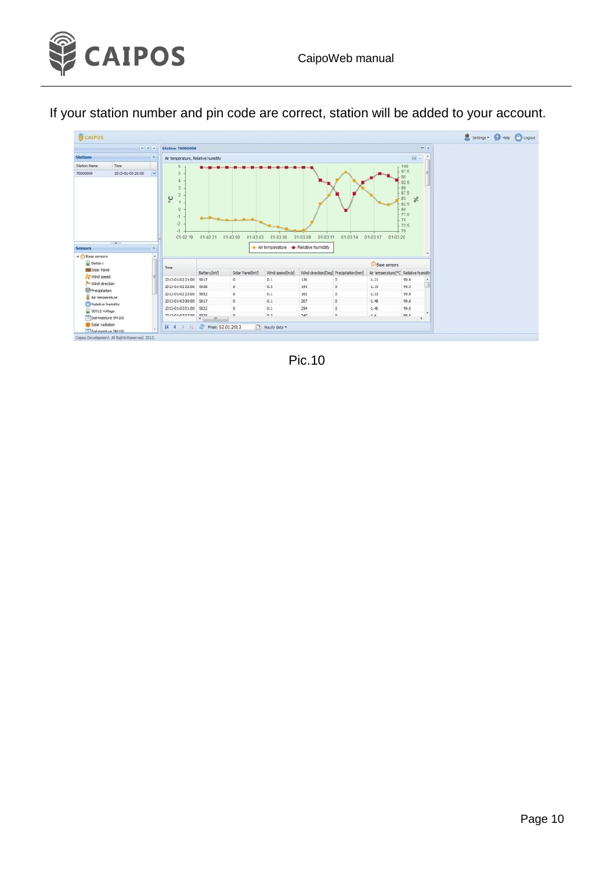

If your station number and pin code are correct, station will be added to your account.



Pic.10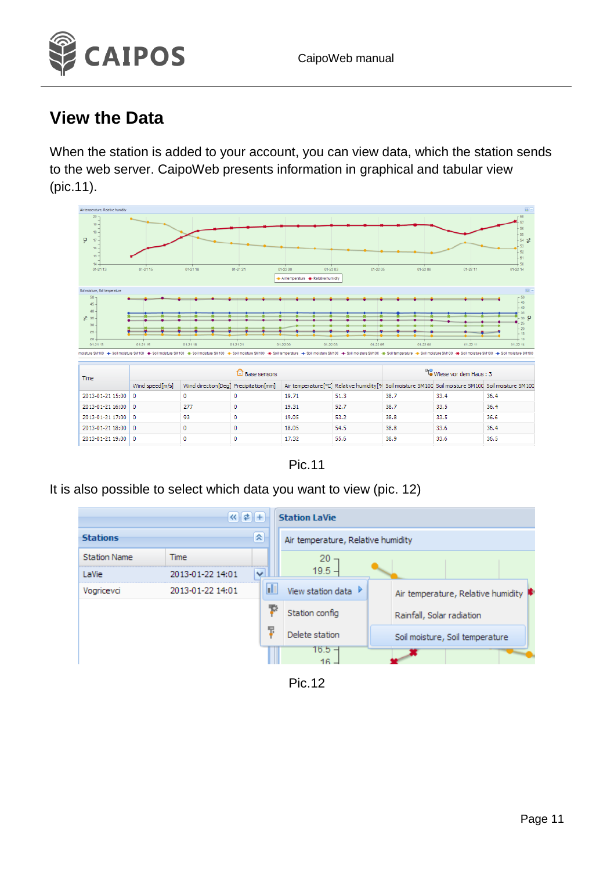

#### <span id="page-10-0"></span>**View the Data**

When the station is added to your account, you can view data, which the station sends to the web server. CaipoWeb presents information in graphical and tabular view (pic.11).



Pic.11

It is also possible to select which data you want to view (pic. 12)



Pic.12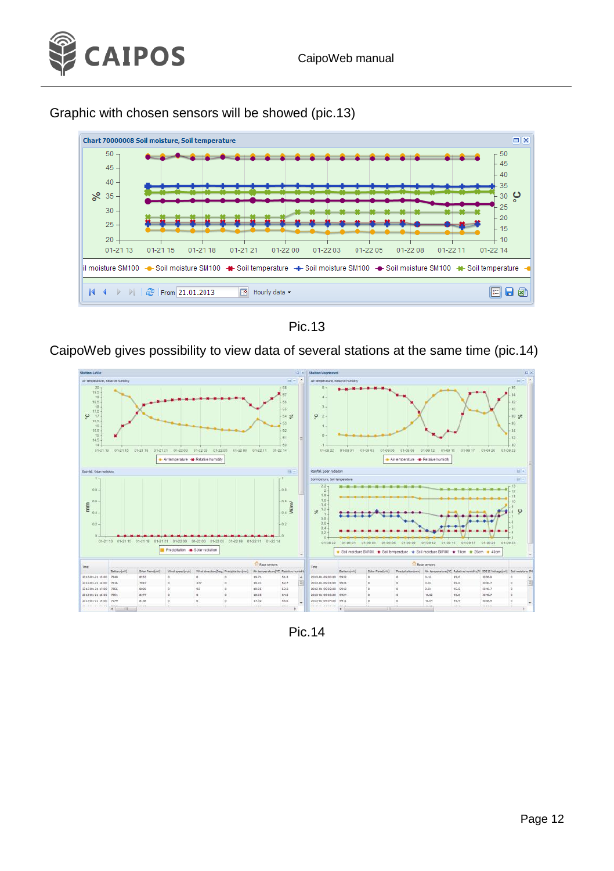

#### Graphic with chosen sensors will be showed (pic.13)



Pic.13

CaipoWeb gives possibility to view data of several stations at the same time (pic.14)



Pic.14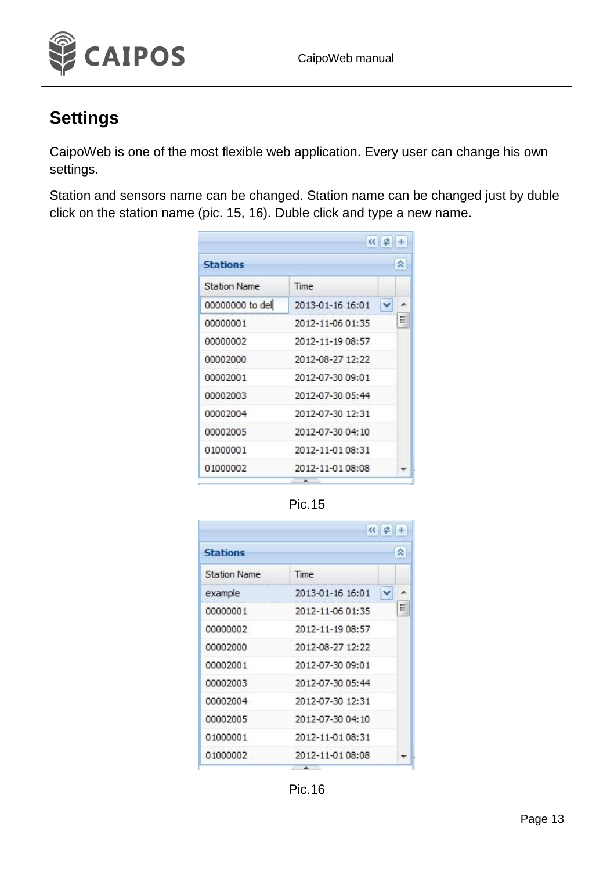

## <span id="page-12-0"></span>**Settings**

CaipoWeb is one of the most flexible web application. Every user can change his own settings.

Station and sensors name can be changed. Station name can be changed just by duble click on the station name (pic. 15, 16). Duble click and type a new name.

| <b>Stations</b>     |                  | 즛 |
|---------------------|------------------|---|
| <b>Station Name</b> | Time             |   |
| 00000000 to del     | 2013-01-16 16:01 |   |
| 00000001            | 2012-11-06 01:35 | 듸 |
| 00000002            | 2012-11-19 08:57 |   |
| 00002000            | 2012-08-27 12:22 |   |
| 00002001            | 2012-07-30 09:01 |   |
| 00002003            | 2012-07-30 05:44 |   |
| 00002004            | 2012-07-30 12:31 |   |
| 00002005            | 2012-07-30 04:10 |   |
| 01000001            | 2012-11-01 08:31 |   |
| 01000002            | 2012-11-01 08:08 |   |

Pic.15

|                     |                  | 즛 |
|---------------------|------------------|---|
| <b>Stations</b>     |                  |   |
| <b>Station Name</b> | Time             |   |
| example             | 2013-01-16 16:01 |   |
| 00000001            | 2012-11-06 01:35 | 띅 |
| 00000002            | 2012-11-19 08:57 |   |
| 00002000            | 2012-08-27 12:22 |   |
| 00002001            | 2012-07-30 09:01 |   |
| 00002003            | 2012-07-30 05:44 |   |
| 00002004            | 2012-07-30 12:31 |   |
| 00002005            | 2012-07-30 04:10 |   |
| 01000001            | 2012-11-01 08:31 |   |
| 01000002            | 2012-11-01 08:08 |   |

Pic.16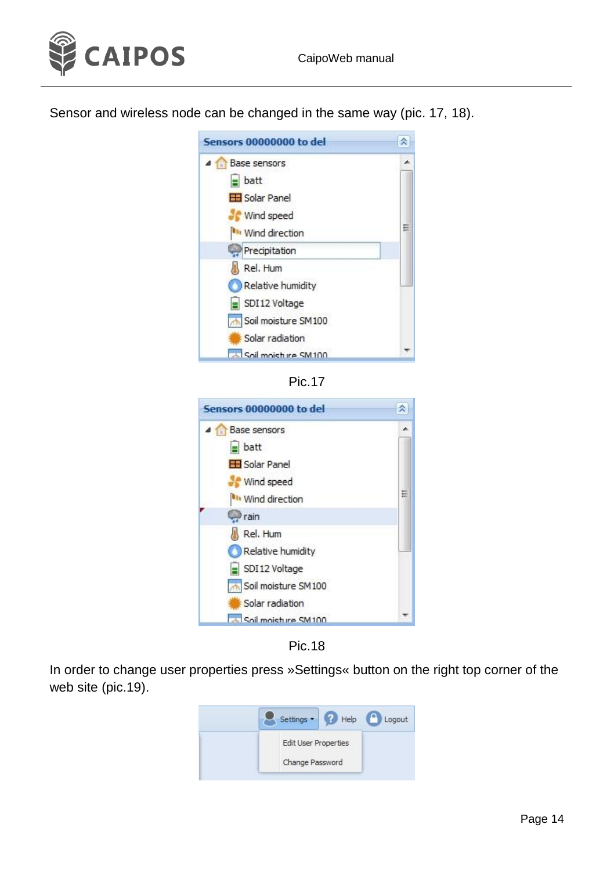



Sensor and wireless node can be changed in the same way (pic. 17, 18).





| Sensors 00000000 to del |   |
|-------------------------|---|
| Base sensors            |   |
| batt                    |   |
| El Solar Panel          |   |
| Wind speed              |   |
| It Wind direction       | Ξ |
| rain                    |   |
| Rel. Hum                |   |
| Relative humidity       |   |
| SDI12 Voltage           |   |
| Soil moisture SM100     |   |
| Solar radiation         |   |
| Soil moishing SM100     |   |

Pic.18

In order to change user properties press »Settings« button on the right top corner of the web site (pic.19).

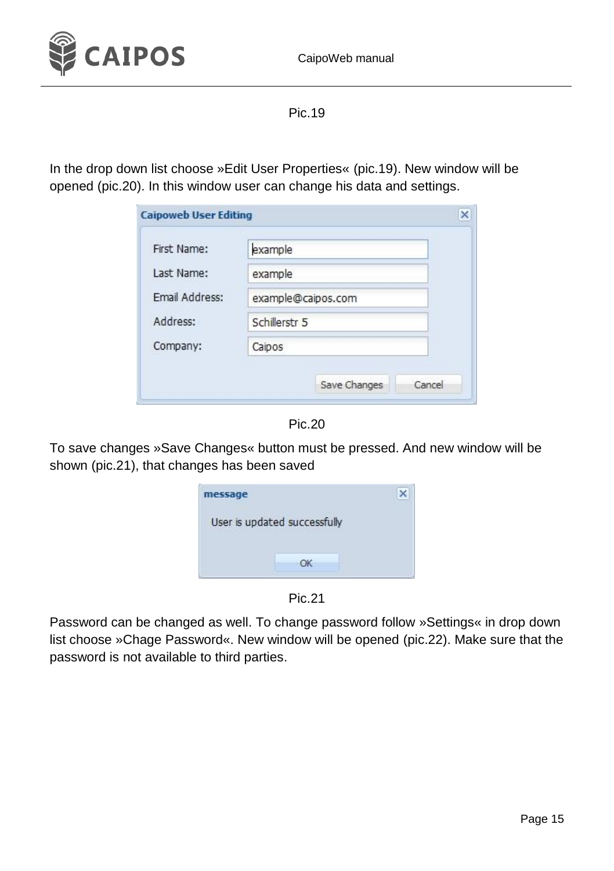

Pic.19

In the drop down list choose »Edit User Properties« (pic.19). New window will be opened (pic.20). In this window user can change his data and settings.

| First Name:    | example                  |  |  |
|----------------|--------------------------|--|--|
| Last Name:     | example                  |  |  |
| Email Address: | example@caipos.com       |  |  |
| Address:       | Schillerstr <sub>5</sub> |  |  |
| Company:       | Caipos                   |  |  |

Pic.20

To save changes »Save Changes« button must be pressed. And new window will be shown (pic.21), that changes has been saved

| message |                              |  |
|---------|------------------------------|--|
|         | User is updated successfully |  |
|         |                              |  |
|         |                              |  |

Pic.21

Password can be changed as well. To change password follow »Settings« in drop down list choose »Chage Password«. New window will be opened (pic.22). Make sure that the password is not available to third parties.